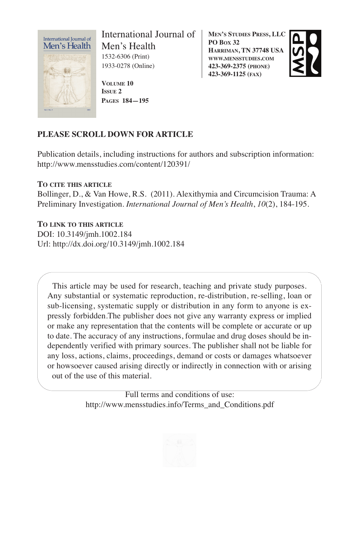

International Journal of Men's Health 1532-6306 (Print) 1933-0278 (Online)

**VOLUME 10 ISSUE 2 PAGES 184—195** **MEN'S STUDIES PRESS, LLC PO BOX 32 HARRIMAN, TN 37748 USA WWW.MENSSTUDIES.COM 423-369-2375 (PHONE) 423-369-1125 (FAX)**



# **PLEASE SCROLL DOWN FOR ARTICLE**

Publication details, including instructions for authors and subscription information: http://www.mensstudies.com/content/120391/

**TO CITE THIS ARTICLE**

Bollinger, D., & Van Howe, R.S. (2011). Alexithymia and Circumcision Trauma: A Preliminary Investigation. *International Journal of Men's Health*, *10*(2), 184-195.

**TO LINK TO THIS ARTICLE**

DOI: 10.3149/jmh.1002.184 Url: http://dx.doi.org/10.3149/jmh.1002.184

This article may be used for research, teaching and private study purposes. Any substantial or systematic reproduction, re-distribution, re-selling, loan or sub-licensing, systematic supply or distribution in any form to anyone is expressly forbidden.The publisher does not give any warranty express or implied or make any representation that the contents will be complete or accurate or up to date. The accuracy of any instructions, formulae and drug doses should be independently verified with primary sources. The publisher shall not be liable for any loss, actions, claims, proceedings, demand or costs or damages whatsoever or howsoever caused arising directly or indirectly in connection with or arising out of the use of this material.

> Full terms and conditions of use: http://www.mensstudies.info/Terms\_and\_Conditions.pdf

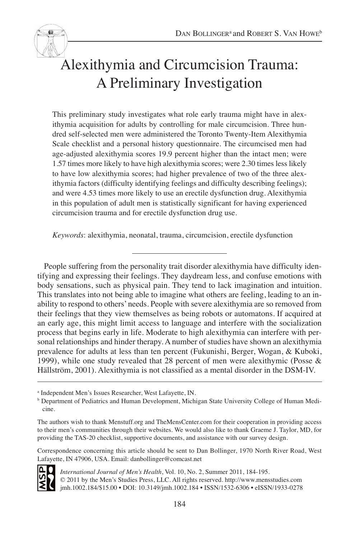Alexithymia and Circumcision Trauma: A Preliminary Investigation

This preliminary study investigates what role early trauma might have in alexithymia acquisition for adults by controlling for male circumcision. Three hundred self-selected men were administered the Toronto Twenty-Item Alexithymia Scale checklist and a personal history questionnaire. The circumcised men had age-adjusted alexithymia scores 19.9 percent higher than the intact men; were 1.57 times more likely to have high alexithymia scores; were 2.30 times less likely to have low alexithymia scores; had higher prevalence of two of the three alexithymia factors (difficulty identifying feelings and difficulty describing feelings); and were 4.53 times more likely to use an erectile dysfunction drug. Alexithymia in this population of adult men is statistically significant for having experienced circumcision trauma and for erectile dysfunction drug use.

*Keywords*: alexithymia, neonatal, trauma, circumcision, erectile dysfunction

People suffering from the personality trait disorder alexithymia have difficulty identifying and expressing their feelings. They daydream less, and confuse emotions with body sensations, such as physical pain. They tend to lack imagination and intuition. This translates into not being able to imagine what others are feeling, leading to an inability to respond to others' needs. People with severe alexithymia are so removed from their feelings that they view themselves as being robots or automatons. If acquired at an early age, this might limit access to language and interfere with the socialization process that begins early in life. Moderate to high alexithymia can interfere with personal relationships and hinder therapy. A number of studies have shown an alexithymia prevalence for adults at less than ten percent (Fukunishi, Berger, Wogan, & Kuboki, 1999), while one study revealed that 28 percent of men were alexithymic (Posse & Hällström, 2001). Alexithymia is not classified as a mental disorder in the DSM-IV.

Correspondence concerning this article should be sent to Dan Bollinger, 1970 North River Road, West Lafayette, IN 47906, USA. Email: danbollinger@comcast.net



*International Journal of Men's Health*, Vol. 10, No. 2, Summer 2011, 184-195. © 2011 by the Men's Studies Press, LLC. All rights reserved. http://www.mensstudies.com jmh.1002.184/\$15.00 • DOI: 10.3149/jmh.1002.184 • ISSN/1532-6306 • eISSN/1933-0278

<sup>a</sup> Independent Men's Issues Researcher, West Lafayette, IN.

**b** Department of Pediatrics and Human Development, Michigan State University College of Human Medicine.

The authors wish to thank Menstuff.org and TheMensCenter.com for their cooperation in providing access to their men's communities through their websites. We would also like to thank Graeme J. Taylor, MD, for providing the TAS-20 checklist, supportive documents, and assistance with our survey design.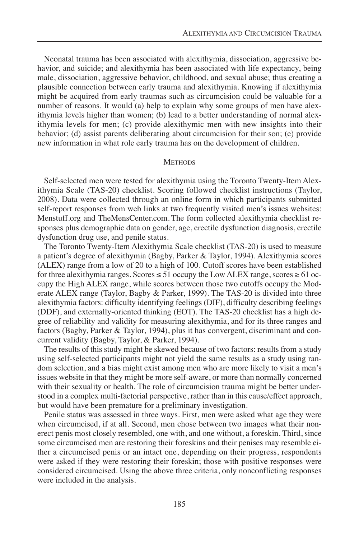Neonatal trauma has been associated with alexithymia, dissociation, aggressive behavior, and suicide; and alexithymia has been associated with life expectancy, being male, dissociation, aggressive behavior, childhood, and sexual abuse; thus creating a plausible connection between early trauma and alexithymia. Knowing if alexithymia might be acquired from early traumas such as circumcision could be valuable for a number of reasons. It would (a) help to explain why some groups of men have alexithymia levels higher than women; (b) lead to a better understanding of normal alexithymia levels for men; (c) provide alexithymic men with new insights into their behavior; (d) assist parents deliberating about circumcision for their son; (e) provide new information in what role early trauma has on the development of children.

#### **METHODS**

Self-selected men were tested for alexithymia using the Toronto Twenty-Item Alexithymia Scale (TAS-20) checklist. Scoring followed checklist instructions (Taylor, 2008). Data were collected through an online form in which participants submitted self-report responses from web links at two frequently visited men's issues websites: Menstuff.org and TheMensCenter.com. The form collected alexithymia checklist responses plus demographic data on gender, age, erectile dysfunction diagnosis, erectile dysfunction drug use, and penile status.

The Toronto Twenty-Item Alexithymia Scale checklist (TAS-20) is used to measure a patient's degree of alexithymia (Bagby, Parker & Taylor, 1994). Alexithymia scores (ALEX) range from a low of 20 to a high of 100. Cutoff scores have been established for three alexithymia ranges. Scores  $\leq$  51 occupy the Low ALEX range, scores  $\geq$  61 occupy the High ALEX range, while scores between those two cutoffs occupy the Moderate ALEX range (Taylor, Bagby & Parker, 1999). The TAS-20 is divided into three alexithymia factors: difficulty identifying feelings (DIF), difficulty describing feelings (DDF), and externally-oriented thinking (EOT). The TAS-20 checklist has a high degree of reliability and validity for measuring alexithymia, and for its three ranges and factors (Bagby, Parker & Taylor, 1994), plus it has convergent, discriminant and concurrent validity (Bagby, Taylor, & Parker, 1994).

The results of this study might be skewed because of two factors: results from a study using self-selected participants might not yield the same results as a study using random selection, and a bias might exist among men who are more likely to visit a men's issues website in that they might be more self-aware, or more than normally concerned with their sexuality or health. The role of circumcision trauma might be better understood in a complex multi-factorial perspective, rather than in this cause/effect approach, but would have been premature for a preliminary investigation.

Penile status was assessed in three ways. First, men were asked what age they were when circumcised, if at all. Second, men chose between two images what their nonerect penis most closely resembled, one with, and one without, a foreskin. Third, since some circumcised men are restoring their foreskins and their penises may resemble either a circumcised penis or an intact one, depending on their progress, respondents were asked if they were restoring their foreskin; those with positive responses were considered circumcised. Using the above three criteria, only nonconflicting responses were included in the analysis.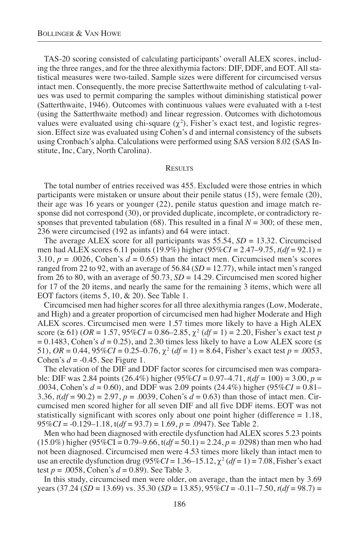TAS-20 scoring consisted of calculating participants' overall ALEX scores, including the three ranges, and for the three alexithymia factors: DIF, DDF, and EOT. All statistical measures were two-tailed. Sample sizes were different for circumcised versus intact men. Consequently, the more precise Satterthwaite method of calculating t-values was used to permit comparing the samples without diminishing statistical power (Satterthwaite, 1946). Outcomes with continuous values were evaluated with a t-test (using the Satterthwaite method) and linear regression. Outcomes with dichotomous values were evaluated using chi-square  $(\chi^2)$ , Fisher's exact test, and logistic regression. Effect size was evaluated using Cohen's d and internal consistency of the subsets using Cronbach's alpha. Calculations were performed using SAS version 8.02 (SAS Institute, Inc, Cary, North Carolina).

#### **RESULTS**

The total number of entries received was 455. Excluded were those entries in which participants were mistaken or unsure about their penile status (15), were female (20), their age was 16 years or younger (22), penile status question and image match response did not correspond (30), or provided duplicate, incomplete, or contradictory responses that prevented tabulation (68). This resulted in a final  $N = 300$ ; of these men, 236 were circumcised (192 as infants) and 64 were intact.

The average ALEX score for all participants was 55.54, *SD* = 13.32. Circumcised men had ALEX scores 6.11 points (19.9%) higher (95%*CI* = 2.47–9.75, *t*(*df* = 92.1) = 3.10,  $p = .0026$ , Cohen's  $d = 0.65$ ) than the intact men. Circumcised men's scores ranged from 22 to 92, with an average of 56.84 (*SD* = 12.77), while intact men's ranged from 26 to 80, with an average of  $50.73$ ,  $SD = 14.29$ . Circumcised men scored higher for 17 of the 20 items, and nearly the same for the remaining 3 items, which were all EOT factors (items 5, 10, & 20). See Table 1.

Circumcised men had higher scores for all three alexithymia ranges (Low, Moderate, and High) and a greater proportion of circumcised men had higher Moderate and High ALEX scores. Circumcised men were 1.57 times more likely to have a High ALEX score ( $\geq 61$ ) ( $OR = 1.57$ ,  $95\%CI = 0.86 - 2.85$ ,  $\chi^2$  ( $df = 1$ ) = 2.20, Fisher's exact test *p*  $= 0.1483$ , Cohen's  $d = 0.25$ ), and 2.30 times less likely to have a Low ALEX score ( $\leq$ 51),  $OR = 0.44$ ,  $95\%CI = 0.25 - 0.76$ ,  $\chi^2$  ( $df = 1$ ) = 8.64, Fisher's exact test  $p = .0053$ , Cohen's *d* = -0.45. See Figure 1.

The elevation of the DIF and DDF factor scores for circumcised men was comparable: DIF was 2.84 points (26.4%) higher (95%*CI* = 0.97–4.71, *t*(*df* = 100) = 3.00, *p* = .0034, Cohen's *d* = 0.60), and DDF was 2.09 points (24.4%) higher (95%*CI* = 0.81– 3.36, *t*(*df* = 90.2) = 2.97, *p* = .0039, Cohen's *d* = 0.63) than those of intact men. Circumcised men scored higher for all seven DIF and all five DDF items. EOT was not statistically significant with scores only about one point higher (difference = 1.18, 95%*CI* = -0.129–1.18, t(*df* = 93.7) = 1.69, *p* = .0947). See Table 2.

Men who had been diagnosed with erectile dysfunction had ALEX scores 5.23 points  $(15.0\%)$  higher  $(95\%CI = 0.79 - 9.66, t(df = 50.1) = 2.24, p = .0298)$  than men who had not been diagnosed. Circumcised men were 4.53 times more likely than intact men to use an erectile dysfunction drug ( $95\%CI = 1.36-15.12$ ,  $\chi^2(df = 1) = 7.08$ , Fisher's exact test *p* = .0058, Cohen's *d* = 0.89). See Table 3.

In this study, circumcised men were older, on average, than the intact men by 3.69 years  $(37.24 \, (SD = 13.69) \, \text{vs.} \, 35.30 \, (SD = 13.85), \, 95\%CI = -0.11 - 7.50, \, t(df = 98.7) =$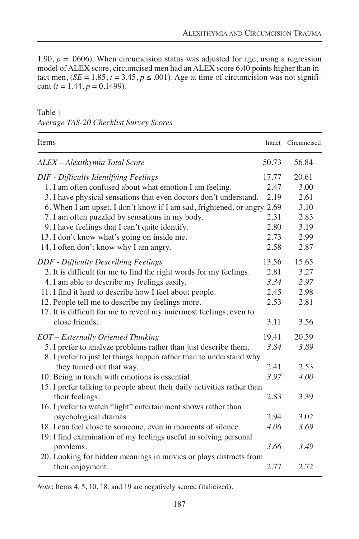1.90,  $p = 0.0606$ ). When circumcision status was adjusted for age, using a regression model of ALEX score, circumcised men had an ALEX score 6.40 points higher than intact men,  $(SE = 1.85, t = 3.45, p \le .001)$ . Age at time of circumcision was not significant  $(t = 1.44, p = 0.1499)$ .

## Table 1

|  | Average TAS-20 Checklist Survey Scores |  |
|--|----------------------------------------|--|
|  |                                        |  |

| Items                                                                                                                                  |               | Intact Circumcised |
|----------------------------------------------------------------------------------------------------------------------------------------|---------------|--------------------|
| ALEX - Alexithymia Total Score                                                                                                         | 50.73         | 56.84              |
| DIF - Difficulty Identifying Feelings<br>1. I am often confused about what emotion I am feeling.                                       | 17.77<br>2.47 | 20.61<br>3.00      |
| 3. I have physical sensations that even doctors don't understand.                                                                      | 2.19          | 2.61               |
| 6. When I am upset, I don't know if I am sad, frightened, or angry. 2.69                                                               |               | 3.10               |
| 7. I am often puzzled by sensations in my body.                                                                                        | 2.31          | 2.83               |
| 9. I have feelings that I can't quite identify.                                                                                        | 2.80          | 3.19               |
| 13. I don't know what's going on inside me.                                                                                            | 2.73          | 2.99               |
| 14. I often don't know why I am angry.                                                                                                 | 2.58          | 2.87               |
| <b>DDF</b> - Difficulty Describing Feelings                                                                                            | 13.56         | 15.65              |
| 2. It is difficult for me to find the right words for my feelings.                                                                     | 2.81          | 3.27               |
| 4. I am able to describe my feelings easily.                                                                                           | 3.34          | 2.97               |
| 11. I find it hard to describe how I feel about people.                                                                                | 2.45          | 2.98               |
| 12. People tell me to describe my feelings more.                                                                                       | 2.53          | 2.81               |
| 17. It is difficult for me to reveal my innermost feelings, even to                                                                    |               |                    |
| close friends.                                                                                                                         | 3.11          | 3.56               |
| EOT - Externally Oriented Thinking                                                                                                     | 19.41         | 20.59              |
| 5. I prefer to analyze problems rather than just describe them.<br>8. I prefer to just let things happen rather than to understand why | 3.84          | 3.89               |
| they turned out that way.                                                                                                              | 2.41          | 2.53               |
| 10. Being in touch with emotions is essential.                                                                                         | 3.97          | 4.00               |
| 15. I prefer talking to people about their daily activities rather than                                                                |               |                    |
| their feelings.                                                                                                                        | 2.83          | 3.39               |
| 16. I prefer to watch "light" entertainment shows rather than                                                                          |               |                    |
| psychological dramas                                                                                                                   | 2.94          | 3.02               |
| 18. I can feel close to someone, even in moments of silence.                                                                           | 4.06          | 3.69               |
| 19. I find examination of my feelings useful in solving personal                                                                       |               |                    |
| problems.                                                                                                                              | 3.66          | 3.49               |
| 20. Looking for hidden meanings in movies or plays distracts from                                                                      |               |                    |
| their enjoyment.                                                                                                                       | 2.77          | 2.72               |

*Note*: Items 4, 5, 10, 18, and 19 are negatively scored (italicized).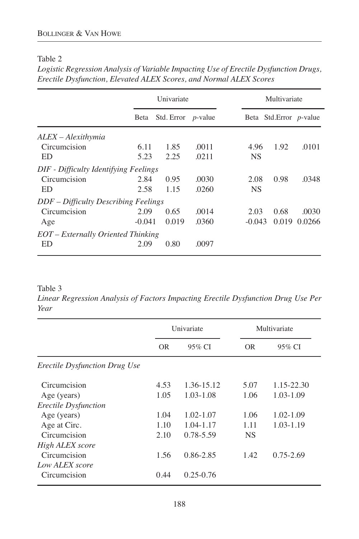# Table 2

*Logistic Regression Analysis of Variable Impacting Use of Erectile Dysfunction Drugs, Erectile Dysfunction, Elevated ALEX Scores, and Normal ALEX Scores*

|                                       | Univariate |                       | Multivariate |  |           |                                |              |
|---------------------------------------|------------|-----------------------|--------------|--|-----------|--------------------------------|--------------|
|                                       | Beta       | Std. Error $p$ -value |              |  |           | Beta Std.Error <i>p</i> -value |              |
| ALEX – Alexithymia                    |            |                       |              |  |           |                                |              |
| Circumcision                          | 6.11       | 1.85                  | .0011        |  | 4.96      | 1.92                           | .0101        |
| ED                                    | 5.23       | 2.25                  | .0211        |  | <b>NS</b> |                                |              |
| DIF - Difficulty Identifying Feelings |            |                       |              |  |           |                                |              |
| Circumcision                          | 2.84       | 0.95                  | .0030        |  | 2.08      | 0.98                           | .0348        |
| ED                                    | 2.58       | 1.15                  | .0260        |  | <b>NS</b> |                                |              |
| DDF – Difficulty Describing Feelings  |            |                       |              |  |           |                                |              |
| Circumcision                          | 2.09       | 0.65                  | .0014        |  | 2.03      | 0.68                           | .0030        |
| Age                                   | $-0.041$   | 0.019                 | .0360        |  | $-0.043$  |                                | 0.019 0.0266 |
| EOT – Externally Oriented Thinking    |            |                       |              |  |           |                                |              |
| ED                                    | 2.09       | 0.80                  | .0097        |  |           |                                |              |

Table 3

*Linear Regression Analysis of Factors Impacting Erectile Dysfunction Drug Use Per Year*

|                                      | Univariate |               | Multivariate |               |
|--------------------------------------|------------|---------------|--------------|---------------|
|                                      | <b>OR</b>  | 95% CI        | 0R           | 95% CI        |
| <i>Erectile Dysfunction Drug Use</i> |            |               |              |               |
| Circumcision                         | 4.53       | 1.36-15.12    | 5.07         | 1.15-22.30    |
| Age (years)                          | 1.05       | $1.03 - 1.08$ | 1.06         | $1.03 - 1.09$ |
| Erectile Dysfunction                 |            |               |              |               |
| Age (years)                          | 1.04       | $1.02 - 1.07$ | 1.06         | 1.02-1.09     |
| Age at Circ.                         | 1.10       | 1.04-1.17     | 1.11         | 1.03-1.19     |
| Circumcision                         | 2.10       | 0.78-5.59     | <b>NS</b>    |               |
| High ALEX score                      |            |               |              |               |
| Circumcision                         | 1.56       | 0.86-2.85     | 1.42         | $0.75 - 2.69$ |
| Low ALEX score                       |            |               |              |               |
| Circumcision                         | 0.44       | $0.25 - 0.76$ |              |               |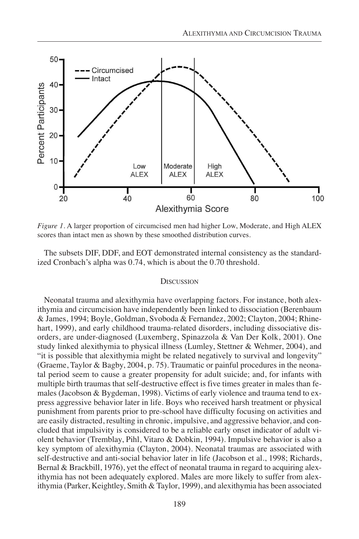

*Figure 1.* A larger proportion of circumcised men had higher Low, Moderate, and High ALEX scores than intact men as shown by these smoothed distribution curves.

The subsets DIF, DDF, and EOT demonstrated internal consistency as the standardized Cronbach's alpha was 0.74, which is about the 0.70 threshold.

#### **DISCUSSION**

Neonatal trauma and alexithymia have overlapping factors. For instance, both alexithymia and circumcision have independently been linked to dissociation (Berenbaum & James, 1994; Boyle, Goldman, Svoboda & Fernandez, 2002; Clayton, 2004; Rhinehart, 1999), and early childhood trauma-related disorders, including dissociative disorders, are under-diagnosed (Luxemberg, Spinazzola & Van Der Kolk, 2001). One study linked alexithymia to physical illness (Lumley, Stettner & Wehmer, 2004), and "it is possible that alexithymia might be related negatively to survival and longevity" (Graeme, Taylor & Bagby, 2004, p. 75). Traumatic or painful procedures in the neonatal period seem to cause a greater propensity for adult suicide; and, for infants with multiple birth traumas that self-destructive effect is five times greater in males than females (Jacobson & Bygdeman, 1998). Victims of early violence and trauma tend to express aggressive behavior later in life. Boys who received harsh treatment or physical punishment from parents prior to pre-school have difficulty focusing on activities and are easily distracted, resulting in chronic, impulsive, and aggressive behavior, and concluded that impulsivity is considered to be a reliable early onset indicator of adult violent behavior (Tremblay, Pihl, Vitaro & Dobkin, 1994). Impulsive behavior is also a key symptom of alexithymia (Clayton, 2004). Neonatal traumas are associated with self-destructive and anti-social behavior later in life (Jacobson et al., 1998; Richards, Bernal & Brackbill, 1976), yet the effect of neonatal trauma in regard to acquiring alexithymia has not been adequately explored. Males are more likely to suffer from alexithymia (Parker, Keightley, Smith & Taylor, 1999), and alexithymia has been associated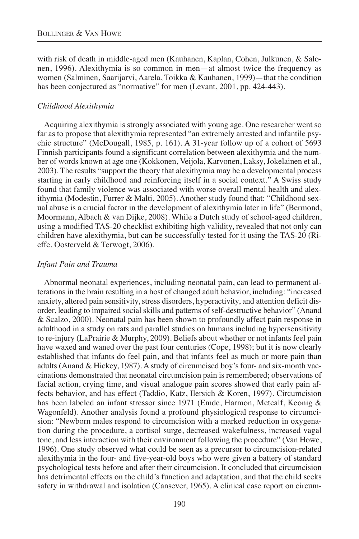with risk of death in middle-aged men (Kauhanen, Kaplan, Cohen, Julkunen, & Salonen, 1996). Alexithymia is so common in men—at almost twice the frequency as women (Salminen, Saarijarvi, Aarela, Toikka & Kauhanen, 1999)—that the condition has been conjectured as "normative" for men (Levant, 2001, pp. 424-443).

#### *Childhood Alexithymia*

Acquiring alexithymia is strongly associated with young age. One researcher went so far as to propose that alexithymia represented "an extremely arrested and infantile psychic structure" (McDougall, 1985, p. 161). A 31-year follow up of a cohort of 5693 Finnish participants found a significant correlation between alexithymia and the number of words known at age one (Kokkonen, Veijola, Karvonen, Laksy, Jokelainen et al.*,* 2003). The results "support the theory that alexithymia may be a developmental process starting in early childhood and reinforcing itself in a social context." A Swiss study found that family violence was associated with worse overall mental health and alexithymia (Modestin, Furrer & Malti, 2005). Another study found that: "Childhood sexual abuse is a crucial factor in the development of alexithymia later in life" (Bermond, Moormann, Albach & van Dijke, 2008). While a Dutch study of school-aged children, using a modified TAS-20 checklist exhibiting high validity, revealed that not only can children have alexithymia, but can be successfully tested for it using the TAS-20 (Rieffe, Oosterveld & Terwogt, 2006).

#### *Infant Pain and Trauma*

Abnormal neonatal experiences, including neonatal pain, can lead to permanent alterations in the brain resulting in a host of changed adult behavior, including: "increased anxiety, altered pain sensitivity, stress disorders, hyperactivity, and attention deficit disorder, leading to impaired social skills and patterns of self-destructive behavior" (Anand & Scalzo, 2000). Neonatal pain has been shown to profoundly affect pain response in adulthood in a study on rats and parallel studies on humans including hypersensitivity to re-injury (LaPrairie & Murphy, 2009). Beliefs about whether or not infants feel pain have waxed and waned over the past four centuries (Cope, 1998); but it is now clearly established that infants do feel pain, and that infants feel as much or more pain than adults (Anand & Hickey, 1987). A study of circumcised boy's four- and six-month vaccinations demonstrated that neonatal circumcision pain is remembered; observations of facial action, crying time, and visual analogue pain scores showed that early pain affects behavior, and has effect (Taddio, Katz, Ilersich & Koren, 1997). Circumcision has been labeled an infant stressor since 1971 (Emde, Harmon, Metcalf, Keonig & Wagonfeld). Another analysis found a profound physiological response to circumcision: "Newborn males respond to circumcision with a marked reduction in oxygenation during the procedure, a cortisol surge, decreased wakefulness, increased vagal tone, and less interaction with their environment following the procedure" (Van Howe, 1996). One study observed what could be seen as a precursor to circumcision-related alexithymia in the four- and five-year-old boys who were given a battery of standard psychological tests before and after their circumcision. It concluded that circumcision has detrimental effects on the child's function and adaptation, and that the child seeks safety in withdrawal and isolation (Cansever, 1965). A clinical case report on circum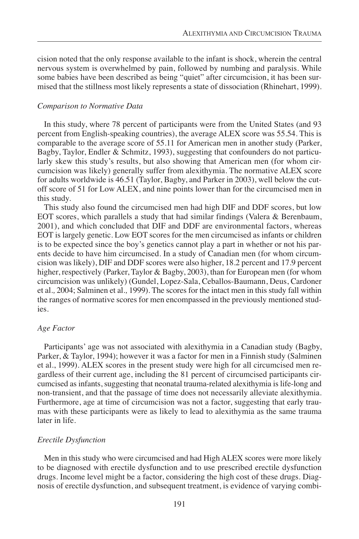cision noted that the only response available to the infant is shock, wherein the central nervous system is overwhelmed by pain, followed by numbing and paralysis. While some babies have been described as being "quiet" after circumcision, it has been surmised that the stillness most likely represents a state of dissociation (Rhinehart, 1999).

#### *Comparison to Normative Data*

In this study, where 78 percent of participants were from the United States (and 93 percent from English-speaking countries), the average ALEX score was 55.54. This is comparable to the average score of 55.11 for American men in another study (Parker, Bagby, Taylor, Endler & Schmitz, 1993), suggesting that confounders do not particularly skew this study's results, but also showing that American men (for whom circumcision was likely) generally suffer from alexithymia. The normative ALEX score for adults worldwide is 46.51 (Taylor, Bagby, and Parker in 2003), well below the cutoff score of 51 for Low ALEX, and nine points lower than for the circumcised men in this study.

This study also found the circumcised men had high DIF and DDF scores, but low EOT scores, which parallels a study that had similar findings (Valera & Berenbaum, 2001), and which concluded that DIF and DDF are environmental factors, whereas EOT is largely genetic. Low EOT scores for the men circumcised as infants or children is to be expected since the boy's genetics cannot play a part in whether or not his parents decide to have him circumcised. In a study of Canadian men (for whom circumcision was likely), DIF and DDF scores were also higher, 18.2 percent and 17.9 percent higher, respectively (Parker, Taylor & Bagby, 2003), than for European men (for whom circumcision was unlikely) (Gundel, Lopez-Sala, Ceballos-Baumann, Deus, Cardoner et al.*,* 2004; Salminen et al.*,* 1999). The scores for the intact men in this study fall within the ranges of normative scores for men encompassed in the previously mentioned studies.

#### *Age Factor*

Participants' age was not associated with alexithymia in a Canadian study (Bagby, Parker, & Taylor, 1994); however it was a factor for men in a Finnish study (Salminen et al., 1999). ALEX scores in the present study were high for all circumcised men regardless of their current age, including the 81 percent of circumcised participants circumcised as infants, suggesting that neonatal trauma-related alexithymia is life-long and non-transient, and that the passage of time does not necessarily alleviate alexithymia. Furthermore, age at time of circumcision was not a factor, suggesting that early traumas with these participants were as likely to lead to alexithymia as the same trauma later in life.

### *Erectile Dysfunction*

Men in this study who were circumcised and had High ALEX scores were more likely to be diagnosed with erectile dysfunction and to use prescribed erectile dysfunction drugs. Income level might be a factor, considering the high cost of these drugs. Diagnosis of erectile dysfunction, and subsequent treatment, is evidence of varying combi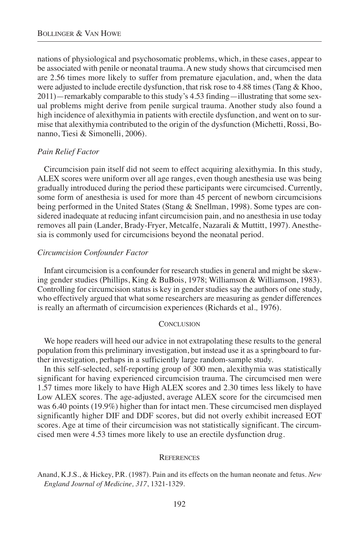nations of physiological and psychosomatic problems, which, in these cases, appear to be associated with penile or neonatal trauma. A new study shows that circumcised men are 2.56 times more likely to suffer from premature ejaculation, and, when the data were adjusted to include erectile dysfunction, that risk rose to 4.88 times (Tang & Khoo, 2011)—remarkably comparable to this study's 4.53 finding—illustrating that some sexual problems might derive from penile surgical trauma. Another study also found a high incidence of alexithymia in patients with erectile dysfunction, and went on to surmise that alexithymia contributed to the origin of the dysfunction (Michetti, Rossi, Bonanno, Tiesi & Simonelli, 2006).

#### *Pain Relief Factor*

Circumcision pain itself did not seem to effect acquiring alexithymia. In this study, ALEX scores were uniform over all age ranges, even though anesthesia use was being gradually introduced during the period these participants were circumcised. Currently, some form of anesthesia is used for more than 45 percent of newborn circumcisions being performed in the United States (Stang & Snellman, 1998). Some types are considered inadequate at reducing infant circumcision pain, and no anesthesia in use today removes all pain (Lander, Brady-Fryer, Metcalfe, Nazarali & Muttitt, 1997). Anesthesia is commonly used for circumcisions beyond the neonatal period.

#### *Circumcision Confounder Factor*

Infant circumcision is a confounder for research studies in general and might be skewing gender studies (Phillips, King & BuBois, 1978; Williamson & Williamson, 1983). Controlling for circumcision status is key in gender studies say the authors of one study, who effectively argued that what some researchers are measuring as gender differences is really an aftermath of circumcision experiences (Richards et al.*,* 1976).

#### **CONCLUSION**

We hope readers will heed our advice in not extrapolating these results to the general population from this preliminary investigation, but instead use it as a springboard to further investigation, perhaps in a sufficiently large random-sample study.

In this self-selected, self-reporting group of 300 men, alexithymia was statistically significant for having experienced circumcision trauma. The circumcised men were 1.57 times more likely to have High ALEX scores and 2.30 times less likely to have Low ALEX scores. The age-adjusted, average ALEX score for the circumcised men was 6.40 points (19.9%) higher than for intact men. These circumcised men displayed significantly higher DIF and DDF scores, but did not overly exhibit increased EOT scores. Age at time of their circumcision was not statistically significant. The circumcised men were 4.53 times more likely to use an erectile dysfunction drug.

#### **REFERENCES**

Anand, K.J.S., & Hickey, P.R. (1987). Pain and its effects on the human neonate and fetus. *New England Journal of Medicine, 317*, 1321-1329.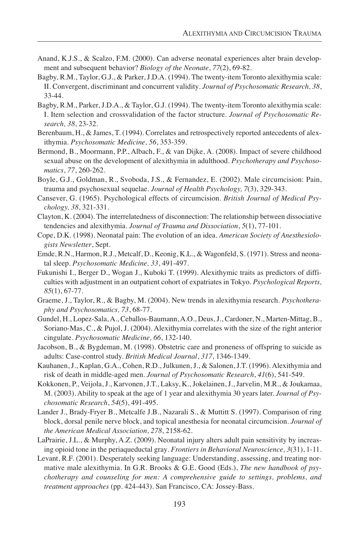- Anand, K.J.S., & Scalzo, F.M. (2000). Can adverse neonatal experiences alter brain development and subsequent behavior? *Biology of the Neonate*, *77*(2), 69-82.
- Bagby, R.M., Taylor, G.J., & Parker, J.D.A. (1994). The twenty-item Toronto alexithymia scale: II. Convergent, discriminant and concurrent validity*. Journal of Psychosomatic Research, 38*, 33-44.
- Bagby, R.M., Parker, J.D.A., & Taylor, G.J. (1994). The twenty-item Toronto alexithymia scale: I. Item selection and crossvalidation of the factor structure*. Journal of Psychosomatic Research, 38*, 23-32.
- Berenbaum, H., & James, T. (1994). Correlates and retrospectively reported antecedents of alexithymia. *Psychosomatic Medicine, 56*, 353-359.
- Bermond, B., Moormann, P.P., Albach, F., & van Dijke, A. (2008). Impact of severe childhood sexual abuse on the development of alexithymia in adulthood. *Psychotherapy and Psychosomatics*, *77*, 260-262.
- Boyle, G.J., Goldman, R., Svoboda, J.S., & Fernandez, E. (2002). Male circumcision: Pain, trauma and psychosexual sequelae. *Journal of Health Psychology, 7*(3), 329-343.
- Cansever, G. (1965). Psychological effects of circumcision. *British Journal of Medical Psychology, 38*, 321-331.
- Clayton, K. (2004). The interrelatedness of disconnection: The relationship between dissociative tendencies and alexithymia. *Journal of Trauma and Dissociation*, *5*(1), 77-101.
- Cope, D.K. (1998). Neonatal pain: The evolution of an idea. *American Society of Anesthesiologists Newsletter*, Sept.
- Emde, R.N., Harmon, R.J., Metcalf, D., Keonig, K.L., & Wagonfeld, S. (1971). Stress and neonatal sleep. *Psychosomatic Medicine, 33*, 491-497.
- Fukunishi I., Berger D., Wogan J., Kuboki T. (1999). Alexithymic traits as predictors of difficulties with adjustment in an outpatient cohort of expatriates in Tokyo. *Psychological Reports, 85*(1), 67-77.
- Graeme, J., Taylor, R., & Bagby, M. (2004). New trends in alexithymia research. *Psychotheraphy and Psychosomatics, 73*, 68-77.
- Gundel, H., Lopez-Sala, A., Ceballos-Baumann, A.O., Deus, J., Cardoner, N., Marten-Mittag, B., Soriano-Mas, C., & Pujol, J. (2004). Alexithymia correlates with the size of the right anterior cingulate. *Psychosomatic Medicine, 66*, 132-140.
- Jacobson, B., & Bygdeman, M. (1998). Obstetric care and proneness of offspring to suicide as adults: Case-control study. *British Medical Journal*, *317*, 1346-1349.
- Kauhanen, J., Kaplan, G.A., Cohen, R.D., Julkunen, J., & Salonen, J.T. (1996). Alexithymia and risk of death in middle-aged men. *Journal of Psychosomatic Research*, *41*(6), 541-549.
- Kokkonen, P., Veijola, J., Karvonen, J.T., Laksy, K., Jokelainen, J., Jarvelin, M.R., & Joukamaa, M. (2003). Ability to speak at the age of 1 year and alexithymia 30 years later. *Journal of Psychosomatic Research*, *54*(5), 491-495.
- Lander J., Brady-Fryer B., Metcalfe J.B., Nazarali S., & Muttitt S. (1997). Comparison of ring block, dorsal penile nerve block, and topical anesthesia for neonatal circumcision. *Journal of the American Medical Association*, *278*, 2158-62.
- LaPrairie, J.L., & Murphy, A.Z. (2009). Neonatal injury alters adult pain sensitivity by increasing opioid tone in the periaqueductal gray*. Frontiers in Behavioral Neuroscience, 3*(31), 1-11.
- Levant, R.F. (2001). Desperately seeking language: Understanding, assessing, and treating normative male alexithymia. In G.R. Brooks & G.E. Good (Eds.), *The new handbook of psychotherapy and counseling for men: A comprehensive guide to settings, problems, and treatment approaches* (pp. 424-443). San Francisco, CA: Jossey-Bass.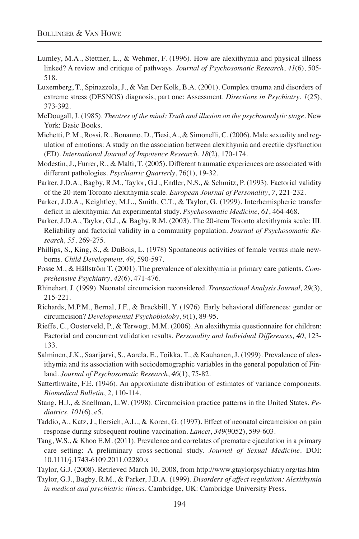- Lumley, M.A., Stettner, L., & Wehmer, F. (1996). How are alexithymia and physical illness linked? A review and critique of pathways. *Journal of Psychosomatic Research*, *41*(6), 505- 518.
- Luxemberg, T., Spinazzola, J., & Van Der Kolk, B.A. (2001). Complex trauma and disorders of extreme stress (DESNOS) diagnosis, part one: Assessment. *Directions in Psychiatry*, *1*(25), 373-392.
- McDougall, J. (1985). *Theatres of the mind: Truth and illusion on the psychoanalytic stage*. New York: Basic Books.
- Michetti, P. M., Rossi, R., Bonanno, D., Tiesi, A., & Simonelli, C. (2006). Male sexuality and regulation of emotions: A study on the association between alexithymia and erectile dysfunction (ED). *International Journal of Impotence Research*, *18*(2), 170-174.
- Modestin, J., Furrer, R., & Malti, T. (2005). Different traumatic experiences are associated with different pathologies. *Psychiatric Quarterly*, 76(1), 19-32.
- Parker, J.D.A., Bagby, R.M., Taylor, G.J., Endler, N.S., & Schmitz, P. (1993). Factorial validity of the 20-item Toronto alexithymia scale. *European Journal of Personality*, *7*, 221-232.
- Parker, J.D.A., Keightley, M.L., Smith, C.T., & Taylor, G. (1999). Interhemispheric transfer deficit in alexithymia: An experimental study. *Psychosomatic Medicine*, *61*, 464-468.
- Parker, J.D.A., Taylor, G.J., & Bagby, R.M. (2003). The 20-item Toronto alexithymia scale: III. Reliability and factorial validity in a community population. *Journal of Psychosomatic Research, 55*, 269-275.
- Phillips, S., King, S., & DuBois, L. (1978) Spontaneous activities of female versus male newborns. *Child Development, 49*, 590-597.
- Posse M., & Hällström T. (2001). The prevalence of alexithymia in primary care patients. *Comprehensive Psychiatry*, *42*(6), 471-476.
- Rhinehart, J. (1999). Neonatal circumcision reconsidered. *Transactional Analysis Journal, 29*(3), 215-221.
- Richards, M.P.M., Bernal, J.F., & Brackbill, Y. (1976). Early behavioral differences: gender or circumcision? *Developmental Psychobioloby*, *9*(1), 89-95.
- Rieffe, C., Oosterveld, P., & Terwogt, M.M. (2006). An alexithymia questionnaire for children: Factorial and concurrent validation results. *Personality and Individual Differences, 40*, 123- 133.
- Salminen, J.K., Saarijarvi, S., Aarela, E., Toikka, T., & Kauhanen, J. (1999). Prevalence of alexithymia and its association with sociodemographic variables in the general population of Finland. *Journal of Psychosomatic Research*, *46*(1), 75-82.
- Satterthwaite, F.E. (1946). An approximate distribution of estimates of variance components. *Biomedical Bulletin*, *2*, 110-114.
- Stang, H.J., & Snellman, L.W. (1998). Circumcision practice patterns in the United States. *Pediatrics, 101*(6), e5.
- Taddio, A., Katz, J., Ilersich, A.L., & Koren, G. (1997). Effect of neonatal circumcision on pain response during subsequent routine vaccination. *Lancet*, *349*(9052), 599-603.
- Tang, W.S., & Khoo E.M. (2011). Prevalence and correlates of premature ejaculation in a primary care setting: A preliminary cross-sectional study. *Journal of Sexual Medicine*. DOI: 10.1111/j.1743-6109.2011.02280.x

Taylor, G.J. (2008). Retrieved March 10, 2008, from http://www.gtaylorpsychiatry.org/tas.htm

Taylor, G.J., Bagby, R.M., & Parker, J.D.A. (1999). *Disorders of affect regulation: Alexithymia in medical and psychiatric illness.* Cambridge, UK: Cambridge University Press.